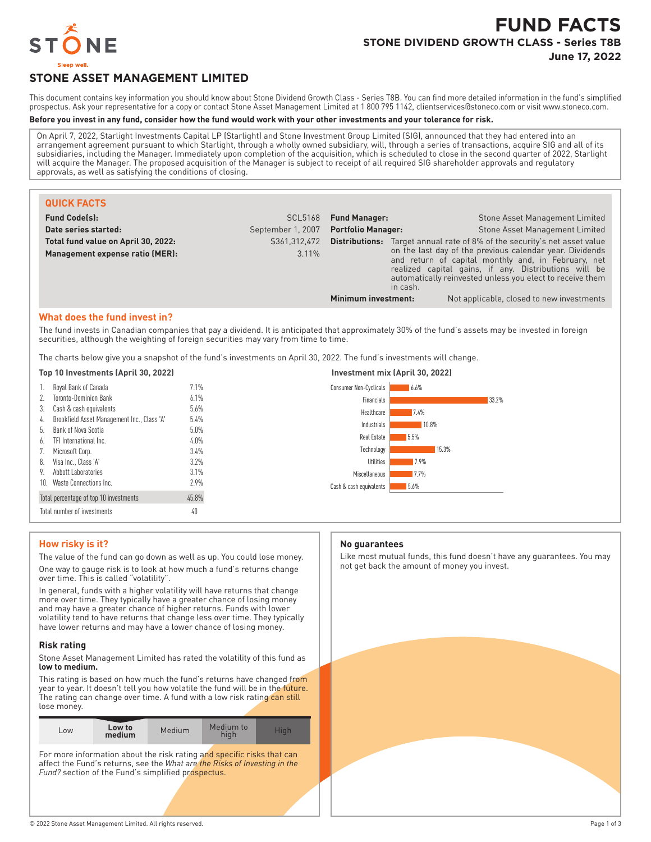

# **FUND FACTS STONE DIVIDEND GROWTH CLASS - Series T8B June 17, 2022**

# **STONE ASSET MANAGEMENT LIMITED**

This document contains key information you should know about Stone Dividend Growth Class - Series T8B. You can find more detailed information in the fund's simplified prospectus. Ask your representative for a copy or contact Stone Asset Management Limited at 1 800 795 1142, clientservices@stoneco.com or visit www.stoneco.com.

#### **Before you invest in any fund, consider how the fund would work with your other investments and your tolerance for risk.**

On April 7, 2022, Starlight Investments Capital LP (Starlight) and Stone Investment Group Limited (SIG), announced that they had entered into an arrangement agreement pursuant to which Starlight, through a wholly owned subsidiary, will, through a series of transactions, acquire SIG and all of its subsidiaries, including the Manager. Immediately upon completion of the acquisition, which is scheduled to close in the second quarter of 2022, Starlight will acquire the Manager. The proposed acquisition of the Manager is subject to receipt of all required SIG shareholder approvals and regulatory approvals, as well as satisfying the conditions of closing.

| <b>QUICK FACTS</b>                  |                   |                           |                                                                                                                                                                                                                                                   |                                                                                  |
|-------------------------------------|-------------------|---------------------------|---------------------------------------------------------------------------------------------------------------------------------------------------------------------------------------------------------------------------------------------------|----------------------------------------------------------------------------------|
| <b>Fund Code(s):</b>                | SCL5168           | <b>Fund Manager:</b>      |                                                                                                                                                                                                                                                   | Stone Asset Management Limited                                                   |
| Date series started:                | September 1, 2007 | <b>Portfolio Manager:</b> |                                                                                                                                                                                                                                                   | Stone Asset Management Limited                                                   |
| Total fund value on April 30, 2022: | \$361,312,472     |                           |                                                                                                                                                                                                                                                   | <b>Distributions:</b> Target annual rate of 8% of the security's net asset value |
| Management expense ratio (MER):     | 3.11%             |                           | on the last day of the previous calendar year. Dividends<br>and return of capital monthly and, in February, net<br>realized capital gains, if any. Distributions will be<br>automatically reinvested unless you elect to receive them<br>in cash. |                                                                                  |
|                                     |                   | Minimum investment:       |                                                                                                                                                                                                                                                   | Not applicable, closed to new investments                                        |

#### **What does the fund invest in?**

The fund invests in Canadian companies that pay a dividend. It is anticipated that approximately 30% of the fund's assets may be invested in foreign securities, although the weighting of foreign securities may vary from time to time.

The charts below give you a snapshot of the fund's investments on April 30, 2022. The fund's investments will change.

|  |  | Top 10 Investments (April 30, 2022) |  |  |
|--|--|-------------------------------------|--|--|
|--|--|-------------------------------------|--|--|

| 1. | Royal Bank of Canada                        | 7.1%  |
|----|---------------------------------------------|-------|
| 2. | <b>Toronto-Dominion Bank</b>                | 6.1%  |
| 3. | Cash & cash equivalents                     | 5.6%  |
| 4. | Brookfield Asset Management Inc., Class 'A' | 5.4%  |
| 5. | Bank of Nova Scotia                         | 5.0%  |
| 6. | TFI International Inc.                      | 4.0%  |
| 7. | Microsoft Corp.                             | 3.4%  |
| 8. | Visa Inc., Class 'A'                        | 3.7%  |
| 9. | Abbott Laboratories                         | 3.1%  |
| 10 | Waste Connections Inc.                      | 7.9%  |
|    | Total percentage of top 10 investments      | 45.8% |
|    | Total number of investments                 | 40    |



## **How risky is it?**

The value of the fund can go down as well as up. You could lose money. One way to gauge risk is to look at how much a fund's returns change over time. This is called "volatility".

In general, funds with a higher volatility will have returns that change more over time. They typically have a greater chance of losing money and may have a greater chance of higher returns. Funds with lower volatility tend to have returns that change less over time. They typically have lower returns and may have a lower chance of losing money.

#### **Risk rating**

Stone Asset Management Limited has rated the volatility of this fund as **low to medium.**

This rating is based on how much the fund's returns have changed from year to year. It doesn't tell you how volatile the fund will be in the future. The rating can change over time. A fund with a low risk rating can still lose money.

| medium<br>hiah | LOW | Low to | Medium | Medium to | Hiah |
|----------------|-----|--------|--------|-----------|------|
|----------------|-----|--------|--------|-----------|------|

For more information about the risk rating and specific risks that can affect the Fund's returns, see the *What are the Risks of Investing in the* Fund? section of the Fund's simplified prospectus.

#### **No guarantees**

Like most mutual funds, this fund doesn't have any guarantees. You may not get back the amount of money you invest.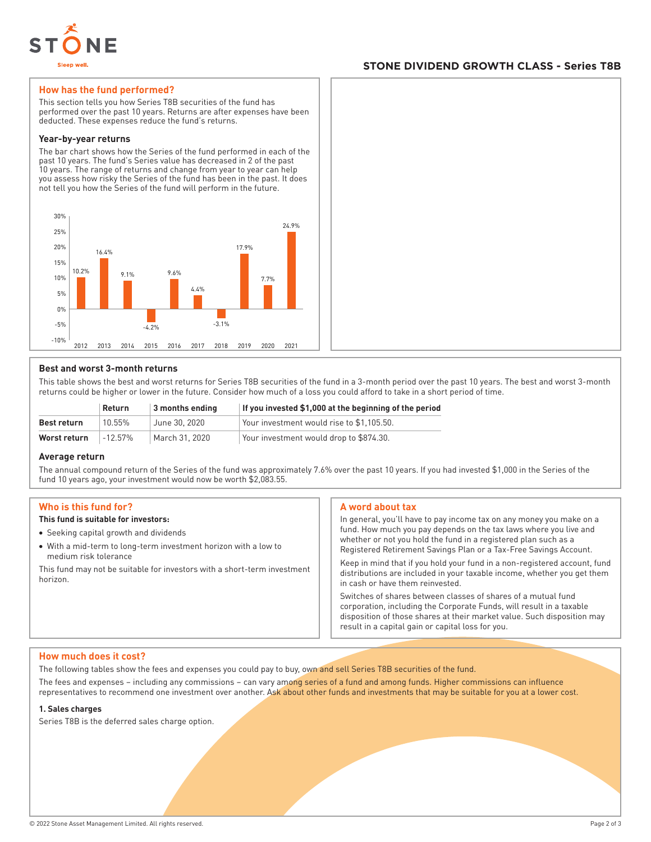

## **STONE DIVIDEND GROWTH CLASS - Series T8B**

#### **How has the fund performed?**

This section tells you how Series T8B securities of the fund has performed over the past 10 years. Returns are after expenses have been deducted. These expenses reduce the fund's returns.

#### **Year-by-year returns**

The bar chart shows how the Series of the fund performed in each of the past 10 years. The fund's Series value has decreased in 2 of the past 10 years. The range of returns and change from year to year can help you assess how risky the Series of the fund has been in the past. It does not tell you how the Series of the fund will perform in the future.



#### **Best and worst 3-month returns**

This table shows the best and worst returns for Series T8B securities of the fund in a 3-month period over the past 10 years. The best and worst 3-month returns could be higher or lower in the future. Consider how much of a loss you could afford to take in a short period of time.

| $\vert$ 3 months ending<br><b>Return</b> |            |                | If you invested \$1,000 at the beginning of the period |
|------------------------------------------|------------|----------------|--------------------------------------------------------|
| Best return                              | 10 55%     | June 30, 2020  | Your investment would rise to \$1.105.50.              |
| Worst return                             | $-12.57\%$ | March 31, 2020 | Your investment would drop to \$874.30.                |

#### **Average return**

The annual compound return of the Series of the fund was approximately 7.6% over the past 10 years. If you had invested \$1,000 in the Series of the fund 10 years ago, your investment would now be worth \$2,083.55.

#### **Who is this fund for?**

### **This fund is suitable for investors:**

- Seeking capital growth and dividends
- With a mid-term to long-term investment horizon with a low to medium risk tolerance

This fund may not be suitable for investors with a short-term investment horizon.

#### **A word about tax**

In general, you'll have to pay income tax on any money you make on a fund. How much you pay depends on the tax laws where you live and whether or not you hold the fund in a registered plan such as a Registered Retirement Savings Plan or a Tax-Free Savings Account.

Keep in mind that if you hold your fund in a non-registered account, fund distributions are included in your taxable income, whether you get them in cash or have them reinvested.

Switches of shares between classes of shares of a mutual fund corporation, including the Corporate Funds, will result in a taxable disposition of those shares at their market value. Such disposition may result in a capital gain or capital loss for you.

#### **How much does it cost?**

The following tables show the fees and expenses you could pay to buy, own and sell Series T8B securities of the fund.

The fees and expenses – including any commissions – can vary among series of a fund and among funds. Higher commissions can influence representatives to recommend one investment over another. Ask about other funds and investments that may be suitable for you at a lower cost.

#### **1. Sales charges**

Series T8B is the deferred sales charge option.